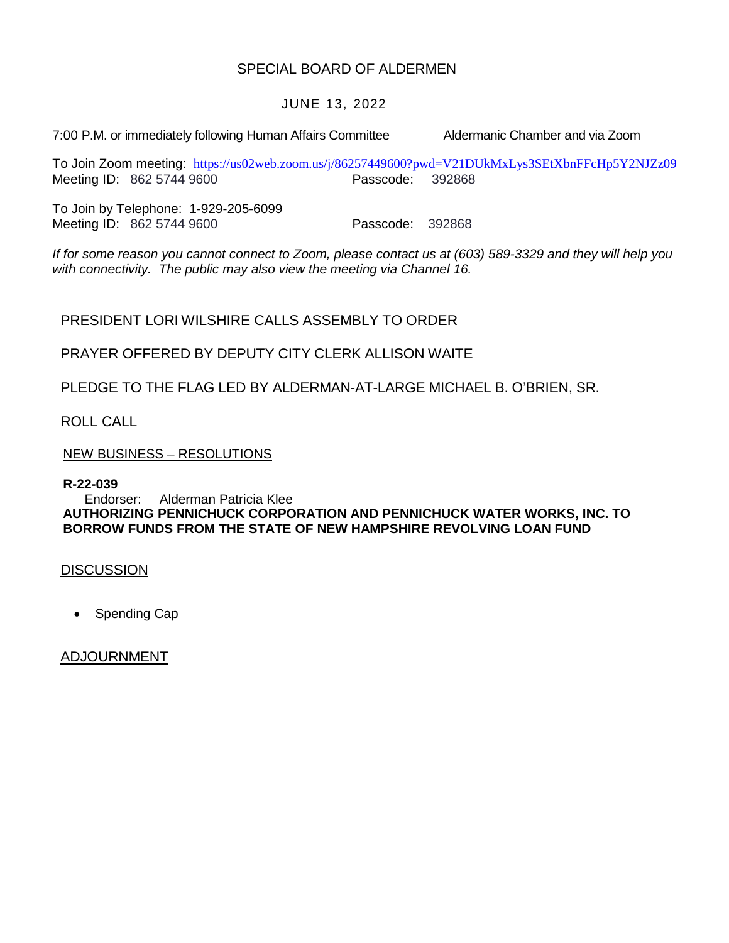### SPECIAL BOARD OF ALDERMEN

#### JUNE 13, 2022

7:00 P.M. or immediately following Human Affairs Committee Aldermanic Chamber and via Zoom

To Join Zoom meeting: <https://us02web.zoom.us/j/86257449600?pwd=V21DUkMxLys3SEtXbnFFcHp5Y2NJZz09> Meeting ID: 862 5744 9600 Passcode: 392868

To Join by Telephone: 1-929-205-6099 Meeting ID: 862 5744 9600 Passcode: 392868

*If for some reason you cannot connect to Zoom, please contact us at (603) 589-3329 and they will help you with connectivity. The public may also view the meeting via Channel 16.*

PRESIDENT LORI WILSHIRE CALLS ASSEMBLY TO ORDER

PRAYER OFFERED BY DEPUTY CITY CLERK ALLISON WAITE

PLEDGE TO THE FLAG LED BY ALDERMAN-AT-LARGE MICHAEL B. O'BRIEN, SR.

ROLL CALL

NEW BUSINESS – RESOLUTIONS

**R-22-039**

Endorser: Alderman Patricia Klee **AUTHORIZING PENNICHUCK CORPORATION AND PENNICHUCK WATER WORKS, INC. TO BORROW FUNDS FROM THE STATE OF NEW HAMPSHIRE REVOLVING LOAN FUND**

**DISCUSSION** 

• Spending Cap

ADJOURNMENT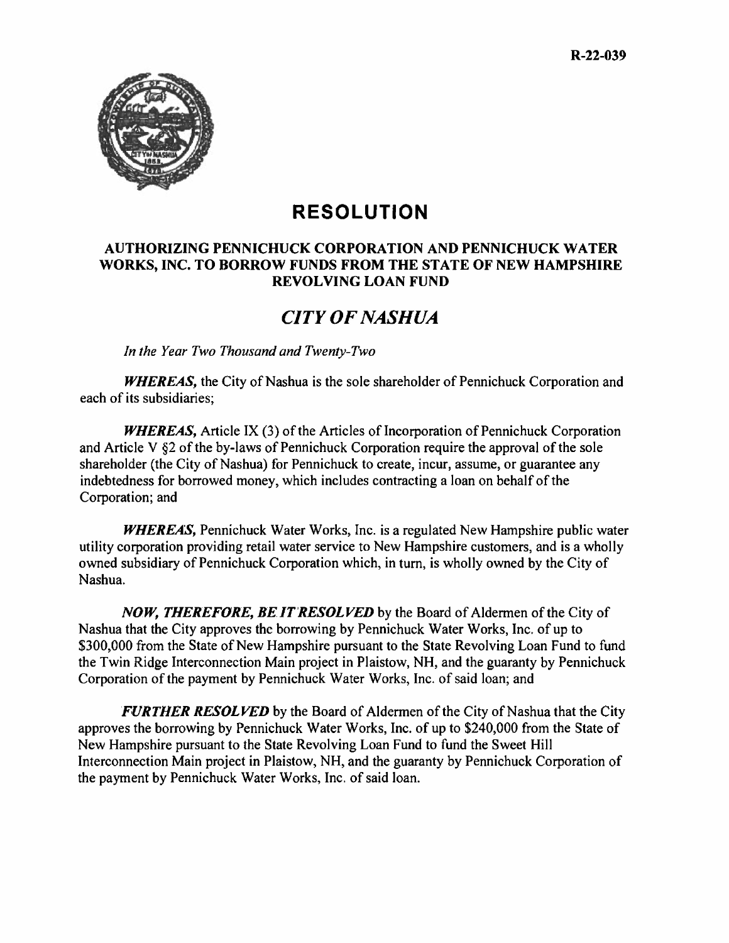

# **RESOLUTION**

#### **AUTHORIZING PENNICHUCK CORPORATION AND PENNICHUCK WATER WORKS, INC. TO BORROW FUNDS FROM THE STATE OF NEW HAMPSHIRE REVOLVING LOAN FUND**

## *CITY OF NASHUA*

*In the Year Two Thousand and Twenty-Two* 

*WHEREAS,* the City of Nashua is the sole shareholder of Pennichuck Corporation and each of its subsidiaries;

*WHEREAS,* Article IX (3) of the Articles of Incorporation of Pennichuck Corporation and Article V §2 of the by-laws of Pennichuck Corporation require the approval of the sole shareholder (the City of Nashua) for Pennichuck to create, incur, assume, or guarantee any indebtedness for borrowed money, which includes contracting a loan on behalf of the Corporation; and

*WHEREAS,* Pennichuck Water Works, Inc. is a regulated New Hampshire public water utility corporation providing retail water service to New Hampshire customers, and is a wholly owned subsidiary of Pennichuck Corporation which, in turn, is wholly owned by the City of Nashua.

*NOW, THEREFORE, BE IT RESOLVED* by the Board of Aldermen of the City of Nashua that the City approves the borrowing by Pennichuck Water Works, Inc. of up to \$300,000 from the State of New Hampshire pursuant to the State Revolving Loan Fund to fund the Twin Ridge Interconnection Main project in Plaistow, NH, and the guaranty by Pennichuck Corporation of the payment by Pennichuck Water Works, Inc. of said loan; and

*FURTHER RESOLVED* by the Board of Aldermen of the City of Nashua that the City approves the borrowing by Pennichuck Water Works, Inc. of up to \$240,000 from the State of New Hampshire pursuant to the State Revolving Loan Fund to fund the Sweet Hill Interconnection Main project in Plaistow, NH, and the guaranty by Pennichuck Corporation of the payment by Pennichuck Water Works, Inc. of said loan.